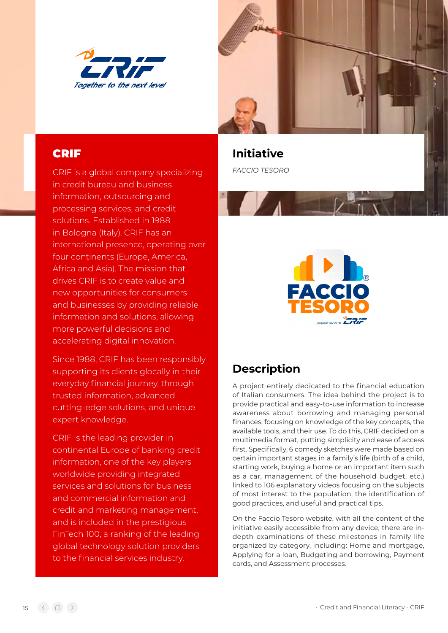

CRIF is a global company specializing in credit bureau and business information, outsourcing and processing services, and credit solutions. Established in 1988 in Bologna (Italy), CRIF has an international presence, operating over four continents (Europe, America, Africa and Asia). The mission that drives CRIF is to create value and new opportunities for consumers and businesses by providing reliable information and solutions, allowing more powerful decisions and accelerating digital innovation.

Since 1988, CRIF has been responsibly supporting its clients glocally in their everyday financial journey, through trusted information, advanced cutting-edge solutions, and unique expert knowledge.

CRIF is the leading provider in continental Europe of banking credit information, one of the key players worldwide providing integrated services and solutions for business and commercial information and credit and marketing management, and is included in the prestigious FinTech 100, a ranking of the leading global technology solution providers to the financial services industry.



**CRIF CRIF Initiative** *FACCIO TESORO*



## **Description**

A project entirely dedicated to the financial education of Italian consumers. The idea behind the project is to provide practical and easy-to-use information to increase awareness about borrowing and managing personal finances, focusing on knowledge of the key concepts, the available tools, and their use. To do this, CRIF decided on a multimedia format, putting simplicity and ease of access first. Specifically, 6 comedy sketches were made based on certain important stages in a family's life (birth of a child, starting work, buying a home or an important item such as a car, management of the household budget, etc.) linked to 106 explanatory videos focusing on the subjects of most interest to the population, the identification of good practices, and useful and practical tips.

On the Faccio Tesoro website, with all the content of the initiative easily accessible from any device, there are indepth examinations of these milestones in family life organized by category, including: Home and mortgage, Applying for a loan, Budgeting and borrowing, Payment cards, and Assessment processes.